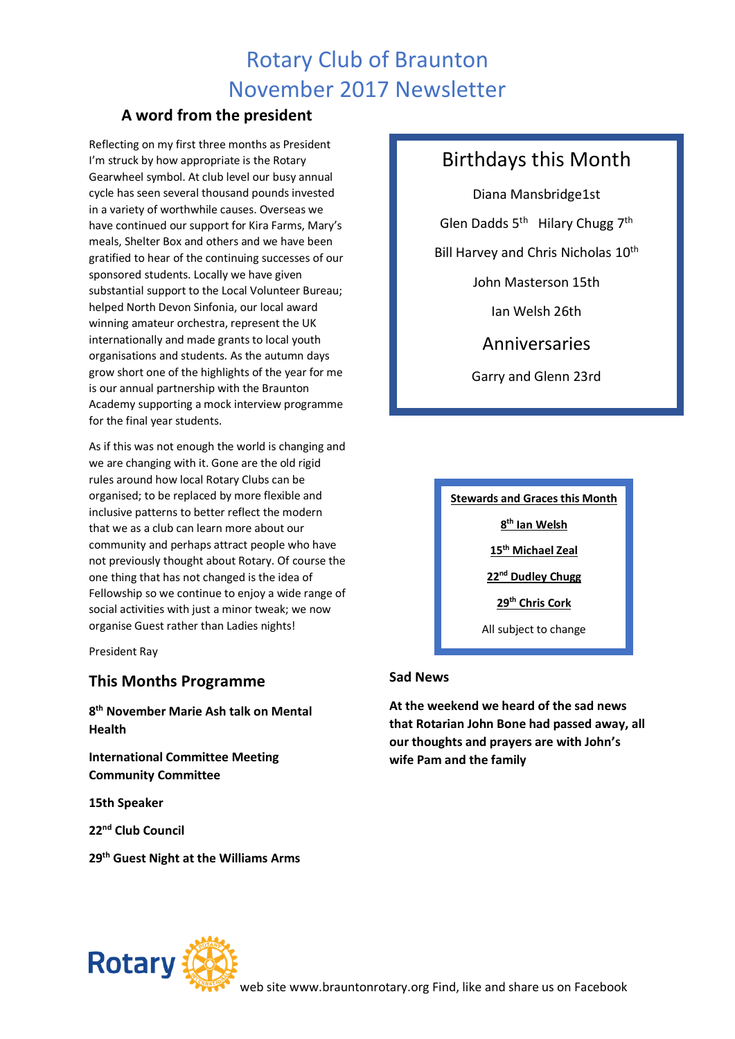## Rotary Club of Braunton November 2017 Newsletter

### **A word from the president**

Reflecting on my first three months as President I'm struck by how appropriate is the Rotary Gearwheel symbol. At club level our busy annual cycle has seen several thousand pounds invested in a variety of worthwhile causes. Overseas we have continued our support for Kira Farms, Mary's meals, Shelter Box and others and we have been gratified to hear of the continuing successes of our sponsored students. Locally we have given substantial support to the Local Volunteer Bureau; helped North Devon Sinfonia, our local award winning amateur orchestra, represent the UK internationally and made grants to local youth organisations and students. As the autumn days grow short one of the highlights of the year for me is our annual partnership with the Braunton Academy supporting a mock interview programme for the final year students.

As if this was not enough the world is changing and we are changing with it. Gone are the old rigid rules around how local Rotary Clubs can be organised; to be replaced by more flexible and inclusive patterns to better reflect the modern that we as a club can learn more about our community and perhaps attract people who have not previously thought about Rotary. Of course the one thing that has not changed is the idea of Fellowship so we continue to enjoy a wide range of social activities with just a minor tweak; we now organise Guest rather than Ladies nights!

President Ray

### **This Months Programme**

**8 th November Marie Ash talk on Mental Health**

**International Committee Meeting Community Committee** 

**15th Speaker**

**22nd Club Council**

**29th Guest Night at the Williams Arms**

## Birthdays this Month

Diana Mansbridge1st Glen Dadds 5<sup>th</sup> Hilary Chugg 7<sup>th</sup> Bill Harvey and Chris Nicholas 10<sup>th</sup> John Masterson 15th Ian Welsh 26th Anniversaries Garry and Glenn 23rd

**Stewards and Graces this Month**

**8 th Ian Welsh**

**15th Michael Zeal**

**22nd Dudley Chugg**

**29th Chris Cork**

All subject to change

#### **Sad News**

**At the weekend we heard of the sad news that Rotarian John Bone had passed away, all our thoughts and prayers are with John's wife Pam and the family**